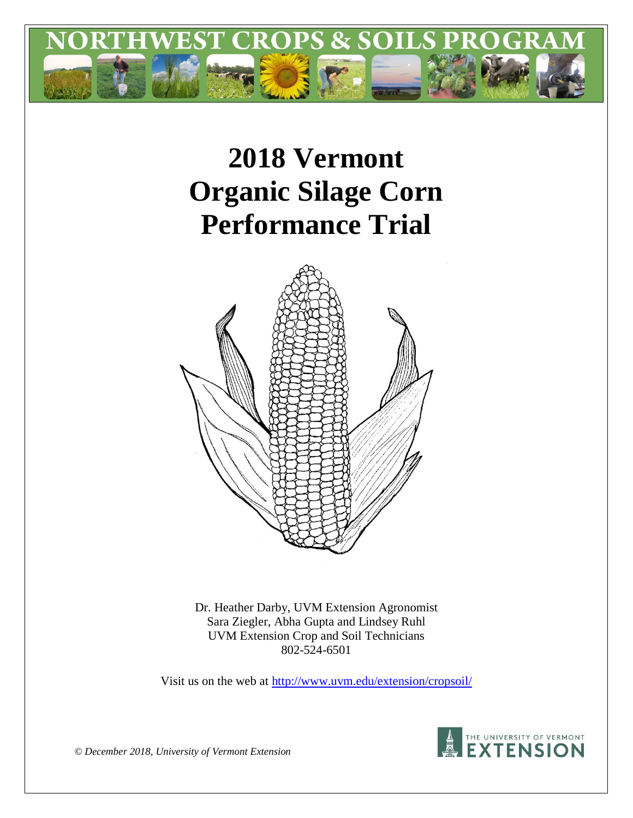

# **2018 Vermont Organic Silage Corn Performance Trial**



Dr. Heather Darby, UVM Extension Agronomist Sara Ziegler, Abha Gupta and Lindsey Ruhl UVM Extension Crop and Soil Technicians 802-524-6501

Visit us on the web at<http://www.uvm.edu/extension/cropsoil/>



*© December 2018, University of Vermont Extension*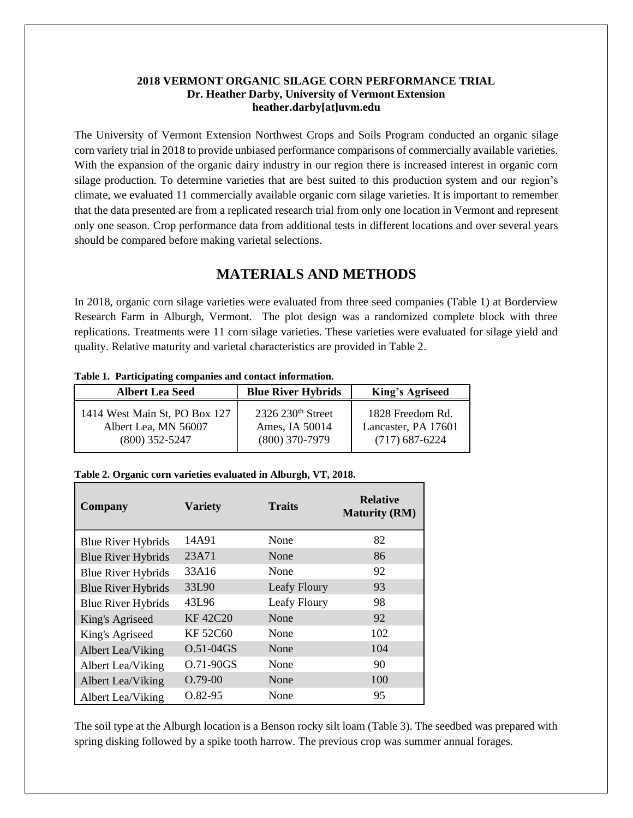#### **2018 VERMONT ORGANIC SILAGE CORN PERFORMANCE TRIAL Dr. Heather Darby, University of Vermont Extension heather.darby[at]uvm.edu**

The University of Vermont Extension Northwest Crops and Soils Program conducted an organic silage corn variety trial in 2018 to provide unbiased performance comparisons of commercially available varieties. With the expansion of the organic dairy industry in our region there is increased interest in organic corn silage production. To determine varieties that are best suited to this production system and our region's climate, we evaluated 11 commercially available organic corn silage varieties. It is important to remember that the data presented are from a replicated research trial from only one location in Vermont and represent only one season. Crop performance data from additional tests in different locations and over several years should be compared before making varietal selections.

## **MATERIALS AND METHODS**

In 2018, organic corn silage varieties were evaluated from three seed companies (Table 1) at Borderview Research Farm in Alburgh, Vermont. The plot design was a randomized complete block with three replications. Treatments were 11 corn silage varieties. These varieties were evaluated for silage yield and quality. Relative maturity and varietal characteristics are provided in Table 2.

| <b>Albert Lea Seed</b>        | <b>Blue River Hybrids</b>     | <b>King's Agriseed</b> |  |  |
|-------------------------------|-------------------------------|------------------------|--|--|
| 1414 West Main St, PO Box 127 | 2326 230 <sup>th</sup> Street | 1828 Freedom Rd.       |  |  |
| Albert Lea, MN 56007          | Ames, IA 50014                | Lancaster, PA 17601    |  |  |
| $(800)$ 352-5247              | $(800)$ 370-7979              | $(717)$ 687-6224       |  |  |

**Table 1. Participating companies and contact information.**

#### **Table 2. Organic corn varieties evaluated in Alburgh, VT, 2018.**

| Company                   | <b>Traits</b><br><b>Variety</b> |              | <b>Relative</b><br><b>Maturity (RM)</b> |  |
|---------------------------|---------------------------------|--------------|-----------------------------------------|--|
| <b>Blue River Hybrids</b> | 14A91                           | None         | 82                                      |  |
| <b>Blue River Hybrids</b> | 23A71                           | None         | 86                                      |  |
| <b>Blue River Hybrids</b> | 33A16                           | None         | 92                                      |  |
| <b>Blue River Hybrids</b> | 33L90                           | Leafy Floury | 93                                      |  |
| <b>Blue River Hybrids</b> | 43L96                           | Leafy Floury | 98                                      |  |
| King's Agriseed           | <b>KF42C20</b>                  | None         | 92                                      |  |
| King's Agriseed           | <b>KF52C60</b>                  | None         | 102                                     |  |
| Albert Lea/Viking         | $O.51 - 04GS$                   | None         | 104                                     |  |
| Albert Lea/Viking         | O.71-90GS                       | None         | 90                                      |  |
| Albert Lea/Viking         | $O.79-00$                       | None         | 100                                     |  |
| Albert Lea/Viking         | Q.82-95                         | None         | 95                                      |  |

The soil type at the Alburgh location is a Benson rocky silt loam (Table 3). The seedbed was prepared with spring disking followed by a spike tooth harrow. The previous crop was summer annual forages.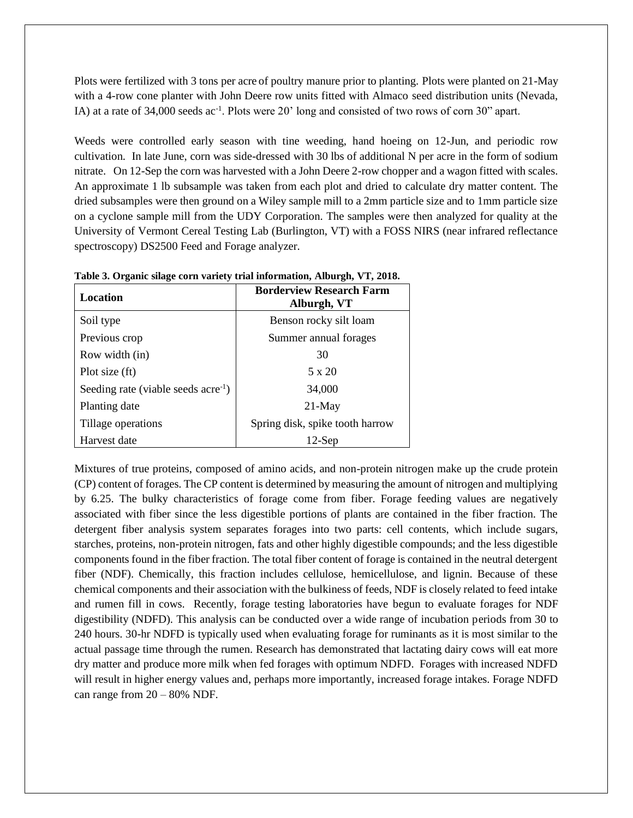Plots were fertilized with 3 tons per acre of poultry manure prior to planting. Plots were planted on 21-May with a 4-row cone planter with John Deere row units fitted with Almaco seed distribution units (Nevada, IA) at a rate of 34,000 seeds ac<sup>-1</sup>. Plots were 20' long and consisted of two rows of corn 30" apart.

Weeds were controlled early season with tine weeding, hand hoeing on 12-Jun, and periodic row cultivation. In late June, corn was side-dressed with 30 lbs of additional N per acre in the form of sodium nitrate. On 12-Sep the corn was harvested with a John Deere 2-row chopper and a wagon fitted with scales. An approximate 1 lb subsample was taken from each plot and dried to calculate dry matter content. The dried subsamples were then ground on a Wiley sample mill to a 2mm particle size and to 1mm particle size on a cyclone sample mill from the UDY Corporation. The samples were then analyzed for quality at the University of Vermont Cereal Testing Lab (Burlington, VT) with a FOSS NIRS (near infrared reflectance spectroscopy) DS2500 Feed and Forage analyzer.

| Location                                        | <b>Borderview Research Farm</b><br>Alburgh, VT |  |  |  |  |
|-------------------------------------------------|------------------------------------------------|--|--|--|--|
| Soil type                                       | Benson rocky silt loam                         |  |  |  |  |
| Previous crop                                   | Summer annual forages                          |  |  |  |  |
| Row width (in)                                  | 30                                             |  |  |  |  |
| Plot size (ft)                                  | 5 x 20                                         |  |  |  |  |
| Seeding rate (viable seeds acre <sup>-1</sup> ) | 34,000                                         |  |  |  |  |
| Planting date                                   | $21-May$                                       |  |  |  |  |
| Tillage operations                              | Spring disk, spike tooth harrow                |  |  |  |  |
| Harvest date                                    | $12$ -Sen                                      |  |  |  |  |

**Table 3. Organic silage corn variety trial information, Alburgh, VT, 2018.**

Mixtures of true proteins, composed of amino acids, and non-protein nitrogen make up the crude protein (CP) content of forages. The CP content is determined by measuring the amount of nitrogen and multiplying by 6.25. The bulky characteristics of forage come from fiber. Forage feeding values are negatively associated with fiber since the less digestible portions of plants are contained in the fiber fraction. The detergent fiber analysis system separates forages into two parts: cell contents, which include sugars, starches, proteins, non-protein nitrogen, fats and other highly digestible compounds; and the less digestible components found in the fiber fraction. The total fiber content of forage is contained in the neutral detergent fiber (NDF). Chemically, this fraction includes cellulose, hemicellulose, and lignin. Because of these chemical components and their association with the bulkiness of feeds, NDF is closely related to feed intake and rumen fill in cows. Recently, forage testing laboratories have begun to evaluate forages for NDF digestibility (NDFD). This analysis can be conducted over a wide range of incubation periods from 30 to 240 hours. 30-hr NDFD is typically used when evaluating forage for ruminants as it is most similar to the actual passage time through the rumen. Research has demonstrated that lactating dairy cows will eat more dry matter and produce more milk when fed forages with optimum NDFD. Forages with increased NDFD will result in higher energy values and, perhaps more importantly, increased forage intakes. Forage NDFD can range from  $20 - 80\%$  NDF.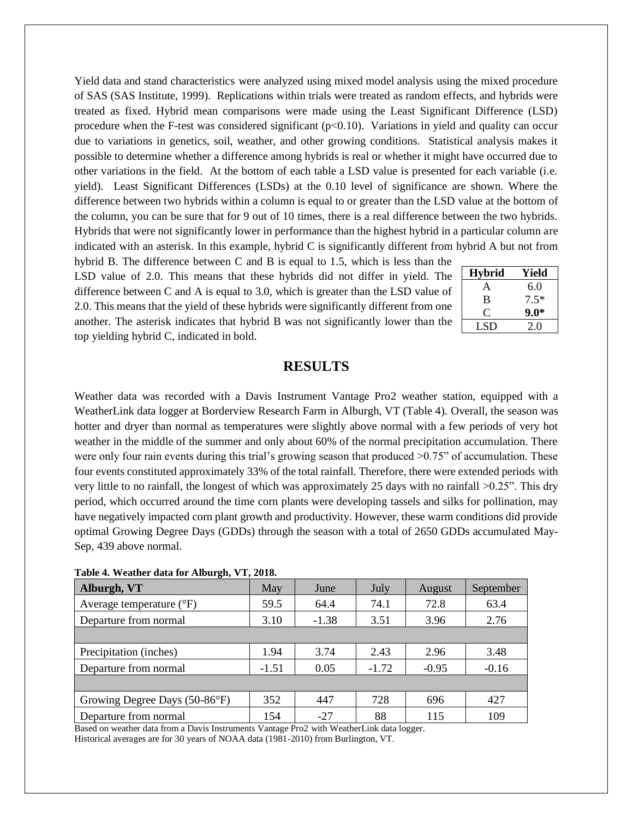Yield data and stand characteristics were analyzed using mixed model analysis using the mixed procedure of SAS (SAS Institute, 1999). Replications within trials were treated as random effects, and hybrids were treated as fixed. Hybrid mean comparisons were made using the Least Significant Difference (LSD) procedure when the F-test was considered significant ( $p<0.10$ ). Variations in yield and quality can occur due to variations in genetics, soil, weather, and other growing conditions. Statistical analysis makes it possible to determine whether a difference among hybrids is real or whether it might have occurred due to other variations in the field. At the bottom of each table a LSD value is presented for each variable (i.e. yield). Least Significant Differences (LSDs) at the 0.10 level of significance are shown. Where the difference between two hybrids within a column is equal to or greater than the LSD value at the bottom of the column, you can be sure that for 9 out of 10 times, there is a real difference between the two hybrids. Hybrids that were not significantly lower in performance than the highest hybrid in a particular column are indicated with an asterisk. In this example, hybrid C is significantly different from hybrid A but not from

hybrid B. The difference between C and B is equal to 1.5, which is less than the LSD value of 2.0. This means that these hybrids did not differ in yield. The difference between C and A is equal to 3.0, which is greater than the LSD value of 2.0. This means that the yield of these hybrids were significantly different from one another. The asterisk indicates that hybrid B was not significantly lower than the top yielding hybrid C, indicated in bold.

| <b>Hybrid</b> | Yield  |
|---------------|--------|
| A             | 6.0    |
| B             | $7.5*$ |
| 0             | $9.0*$ |
| LSD           | 20     |

### **RESULTS**

Weather data was recorded with a Davis Instrument Vantage Pro2 weather station, equipped with a WeatherLink data logger at Borderview Research Farm in Alburgh, VT (Table 4). Overall, the season was hotter and dryer than normal as temperatures were slightly above normal with a few periods of very hot weather in the middle of the summer and only about 60% of the normal precipitation accumulation. There were only four rain events during this trial's growing season that produced  $>0.75$ " of accumulation. These four events constituted approximately 33% of the total rainfall. Therefore, there were extended periods with very little to no rainfall, the longest of which was approximately 25 days with no rainfall >0.25". This dry period, which occurred around the time corn plants were developing tassels and silks for pollination, may have negatively impacted corn plant growth and productivity. However, these warm conditions did provide optimal Growing Degree Days (GDDs) through the season with a total of 2650 GDDs accumulated May-Sep, 439 above normal.

| $\bullet$                           |         |                 |         |         |           |  |
|-------------------------------------|---------|-----------------|---------|---------|-----------|--|
| Alburgh, VT                         | May     | June            | July    | August  | September |  |
| Average temperature $({}^{\circ}F)$ | 59.5    | 64.4            | 74.1    | 72.8    | 63.4      |  |
| Departure from normal               | 3.10    | $-1.38$<br>3.51 |         | 3.96    | 2.76      |  |
|                                     |         |                 |         |         |           |  |
| Precipitation (inches)              | 1.94    | 3.74            | 2.43    | 2.96    | 3.48      |  |
| Departure from normal               | $-1.51$ | 0.05            | $-1.72$ | $-0.95$ | $-0.16$   |  |
|                                     |         |                 |         |         |           |  |
| Growing Degree Days (50-86°F)       | 352     | 447             | 728     | 696     | 427       |  |
| Departure from normal               | 154     | $-27$           | 88      | 115     | 109       |  |

|  |  |  |  | Table 4. Weather data for Alburgh, VT, 2018. |  |  |
|--|--|--|--|----------------------------------------------|--|--|
|--|--|--|--|----------------------------------------------|--|--|

Based on weather data from a Davis Instruments Vantage Pro2 with WeatherLink data logger. Historical averages are for 30 years of NOAA data (1981-2010) from Burlington, VT.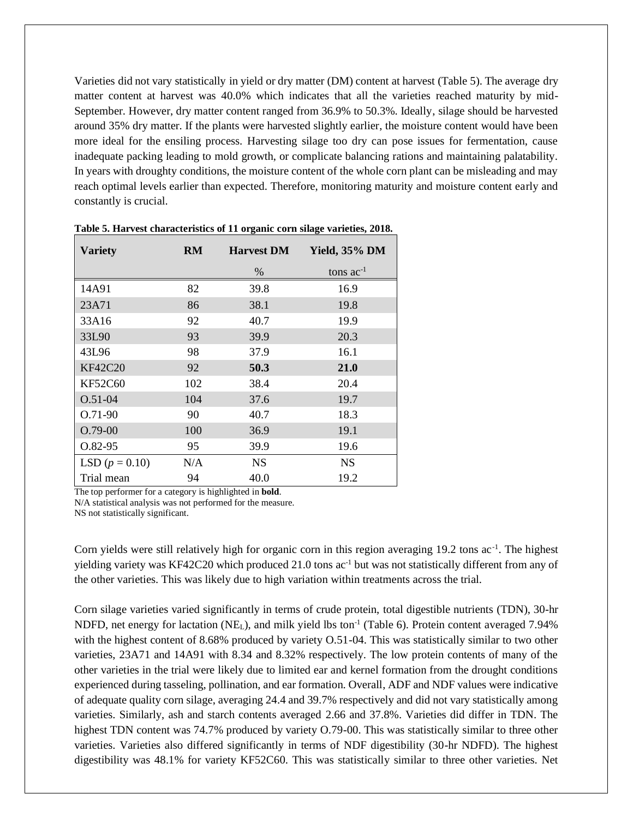Varieties did not vary statistically in yield or dry matter (DM) content at harvest (Table 5). The average dry matter content at harvest was 40.0% which indicates that all the varieties reached maturity by mid-September. However, dry matter content ranged from 36.9% to 50.3%. Ideally, silage should be harvested around 35% dry matter. If the plants were harvested slightly earlier, the moisture content would have been more ideal for the ensiling process. Harvesting silage too dry can pose issues for fermentation, cause inadequate packing leading to mold growth, or complicate balancing rations and maintaining palatability. In years with droughty conditions, the moisture content of the whole corn plant can be misleading and may reach optimal levels earlier than expected. Therefore, monitoring maturity and moisture content early and constantly is crucial.

| <b>Variety</b>   | <b>RM</b> | <b>Harvest DM</b> | <b>Yield, 35% DM</b> |
|------------------|-----------|-------------------|----------------------|
|                  |           | $\%$              | tons $ac^{-1}$       |
| 14A91            | 82        | 39.8              | 16.9                 |
| 23A71            | 86        | 38.1              | 19.8                 |
| 33A16            | 92        | 40.7              | 19.9                 |
| 33L90            | 93        | 39.9              | 20.3                 |
| 43L96            | 98        | 37.9              | 16.1                 |
| <b>KF42C20</b>   | 92        | 50.3              | 21.0                 |
| KF52C60          | 102       | 38.4              | 20.4                 |
| $O.51 - 04$      | 104       | 37.6              | 19.7                 |
| $O.71-90$        | 90        | 40.7              | 18.3                 |
| $O.79-00$        | 100       | 36.9              | 19.1                 |
| $O.82-95$        | 95        | 39.9              | 19.6                 |
| LSD $(p = 0.10)$ | N/A       | <b>NS</b>         | <b>NS</b>            |
| Trial mean       | 94        | 40.0              | 19.2                 |

**Table 5. Harvest characteristics of 11 organic corn silage varieties, 2018.**

The top performer for a category is highlighted in **bold**.

N/A statistical analysis was not performed for the measure.

NS not statistically significant.

Corn yields were still relatively high for organic corn in this region averaging 19.2 tons ac<sup>-1</sup>. The highest yielding variety was KF42C20 which produced 21.0 tons ac<sup>-1</sup> but was not statistically different from any of the other varieties. This was likely due to high variation within treatments across the trial.

Corn silage varieties varied significantly in terms of crude protein, total digestible nutrients (TDN), 30-hr NDFD, net energy for lactation (NE<sub>L</sub>), and milk yield lbs ton<sup>-1</sup> (Table 6). Protein content averaged 7.94% with the highest content of 8.68% produced by variety O.51-04. This was statistically similar to two other varieties, 23A71 and 14A91 with 8.34 and 8.32% respectively. The low protein contents of many of the other varieties in the trial were likely due to limited ear and kernel formation from the drought conditions experienced during tasseling, pollination, and ear formation. Overall, ADF and NDF values were indicative of adequate quality corn silage, averaging 24.4 and 39.7% respectively and did not vary statistically among varieties. Similarly, ash and starch contents averaged 2.66 and 37.8%. Varieties did differ in TDN. The highest TDN content was 74.7% produced by variety O.79-00. This was statistically similar to three other varieties. Varieties also differed significantly in terms of NDF digestibility (30-hr NDFD). The highest digestibility was 48.1% for variety KF52C60. This was statistically similar to three other varieties. Net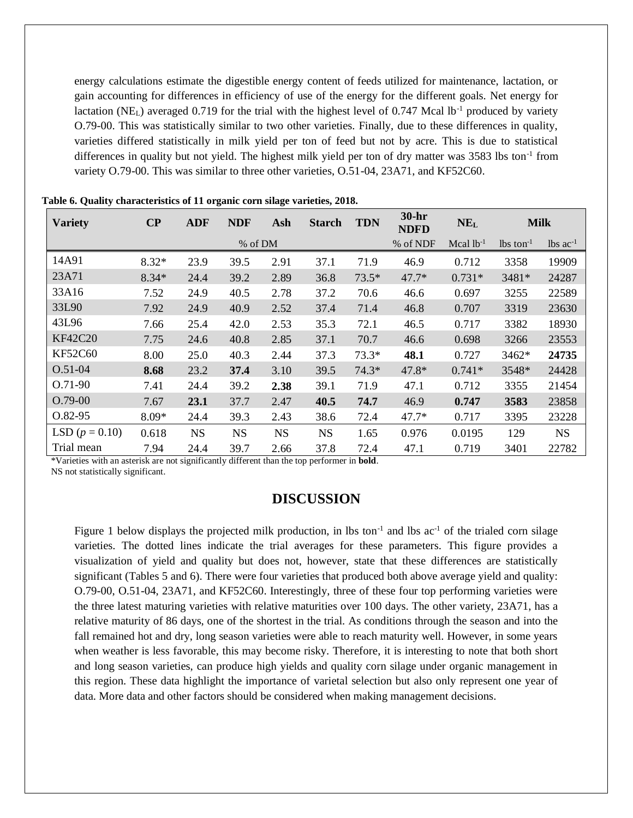energy calculations estimate the digestible energy content of feeds utilized for maintenance, lactation, or gain accounting for differences in efficiency of use of the energy for the different goals. Net energy for lactation (NE<sub>L</sub>) averaged 0.719 for the trial with the highest level of 0.747 Mcal lb<sup>-1</sup> produced by variety O.79-00. This was statistically similar to two other varieties. Finally, due to these differences in quality, varieties differed statistically in milk yield per ton of feed but not by acre. This is due to statistical differences in quality but not yield. The highest milk yield per ton of dry matter was 3583 lbs ton<sup>-1</sup> from variety O.79-00. This was similar to three other varieties, O.51-04, 23A71, and KF52C60.

| <b>Variety</b>   | $\bf CP$ | <b>ADF</b> | <b>NDF</b> | Ash       | <b>Starch</b> | <b>TDN</b> | 30-hr<br><b>NDFD</b> | NE <sub>L</sub> | <b>Milk</b>             |                               |
|------------------|----------|------------|------------|-----------|---------------|------------|----------------------|-----------------|-------------------------|-------------------------------|
|                  |          |            | % of DM    |           |               |            | % of NDF             | Mcal $lb^{-1}$  | $lbs$ ton <sup>-1</sup> | $\text{lbs}$ ac <sup>-1</sup> |
| 14A91            | $8.32*$  | 23.9       | 39.5       | 2.91      | 37.1          | 71.9       | 46.9                 | 0.712           | 3358                    | 19909                         |
| 23A71            | $8.34*$  | 24.4       | 39.2       | 2.89      | 36.8          | $73.5*$    | $47.7*$              | $0.731*$        | 3481*                   | 24287                         |
| 33A16            | 7.52     | 24.9       | 40.5       | 2.78      | 37.2          | 70.6       | 46.6                 | 0.697           | 3255                    | 22589                         |
| 33L90            | 7.92     | 24.9       | 40.9       | 2.52      | 37.4          | 71.4       | 46.8                 | 0.707           | 3319                    | 23630                         |
| 43L96            | 7.66     | 25.4       | 42.0       | 2.53      | 35.3          | 72.1       | 46.5                 | 0.717           | 3382                    | 18930                         |
| <b>KF42C20</b>   | 7.75     | 24.6       | 40.8       | 2.85      | 37.1          | 70.7       | 46.6                 | 0.698           | 3266                    | 23553                         |
| <b>KF52C60</b>   | 8.00     | 25.0       | 40.3       | 2.44      | 37.3          | $73.3*$    | 48.1                 | 0.727           | 3462*                   | 24735                         |
| $O.51 - 04$      | 8.68     | 23.2       | 37.4       | 3.10      | 39.5          | $74.3*$    | 47.8*                | $0.741*$        | 3548*                   | 24428                         |
| $0.71-90$        | 7.41     | 24.4       | 39.2       | 2.38      | 39.1          | 71.9       | 47.1                 | 0.712           | 3355                    | 21454                         |
| $O.79-00$        | 7.67     | 23.1       | 37.7       | 2.47      | 40.5          | 74.7       | 46.9                 | 0.747           | 3583                    | 23858                         |
| $O.82-95$        | 8.09*    | 24.4       | 39.3       | 2.43      | 38.6          | 72.4       | $47.7*$              | 0.717           | 3395                    | 23228                         |
| LSD $(p = 0.10)$ | 0.618    | <b>NS</b>  | <b>NS</b>  | <b>NS</b> | <b>NS</b>     | 1.65       | 0.976                | 0.0195          | 129                     | <b>NS</b>                     |
| Trial mean       | 7.94     | 24.4       | 39.7       | 2.66      | 37.8          | 72.4       | 47.1                 | 0.719           | 3401                    | 22782                         |

**Table 6. Quality characteristics of 11 organic corn silage varieties, 2018.**

\*Varieties with an asterisk are not significantly different than the top performer in **bold**.

NS not statistically significant.

# **DISCUSSION**

Figure 1 below displays the projected milk production, in lbs ton<sup>-1</sup> and lbs  $ac^{-1}$  of the trialed corn silage varieties. The dotted lines indicate the trial averages for these parameters. This figure provides a visualization of yield and quality but does not, however, state that these differences are statistically significant (Tables 5 and 6). There were four varieties that produced both above average yield and quality: O.79-00, O.51-04, 23A71, and KF52C60. Interestingly, three of these four top performing varieties were the three latest maturing varieties with relative maturities over 100 days. The other variety, 23A71, has a relative maturity of 86 days, one of the shortest in the trial. As conditions through the season and into the fall remained hot and dry, long season varieties were able to reach maturity well. However, in some years when weather is less favorable, this may become risky. Therefore, it is interesting to note that both short and long season varieties, can produce high yields and quality corn silage under organic management in this region. These data highlight the importance of varietal selection but also only represent one year of data. More data and other factors should be considered when making management decisions.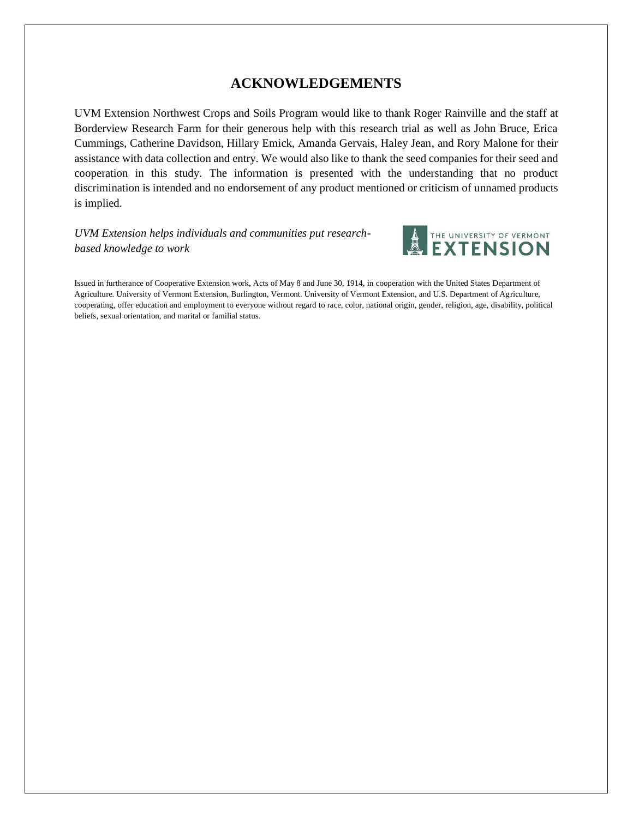# **ACKNOWLEDGEMENTS**

UVM Extension Northwest Crops and Soils Program would like to thank Roger Rainville and the staff at Borderview Research Farm for their generous help with this research trial as well as John Bruce, Erica Cummings, Catherine Davidson, Hillary Emick, Amanda Gervais, Haley Jean, and Rory Malone for their assistance with data collection and entry. We would also like to thank the seed companies for their seed and cooperation in this study. The information is presented with the understanding that no product discrimination is intended and no endorsement of any product mentioned or criticism of unnamed products is implied.

*UVM Extension helps individuals and communities put researchbased knowledge to work*



Issued in furtherance of Cooperative Extension work, Acts of May 8 and June 30, 1914, in cooperation with the United States Department of Agriculture. University of Vermont Extension, Burlington, Vermont. University of Vermont Extension, and U.S. Department of Agriculture, cooperating, offer education and employment to everyone without regard to race, color, national origin, gender, religion, age, disability, political beliefs, sexual orientation, and marital or familial status.